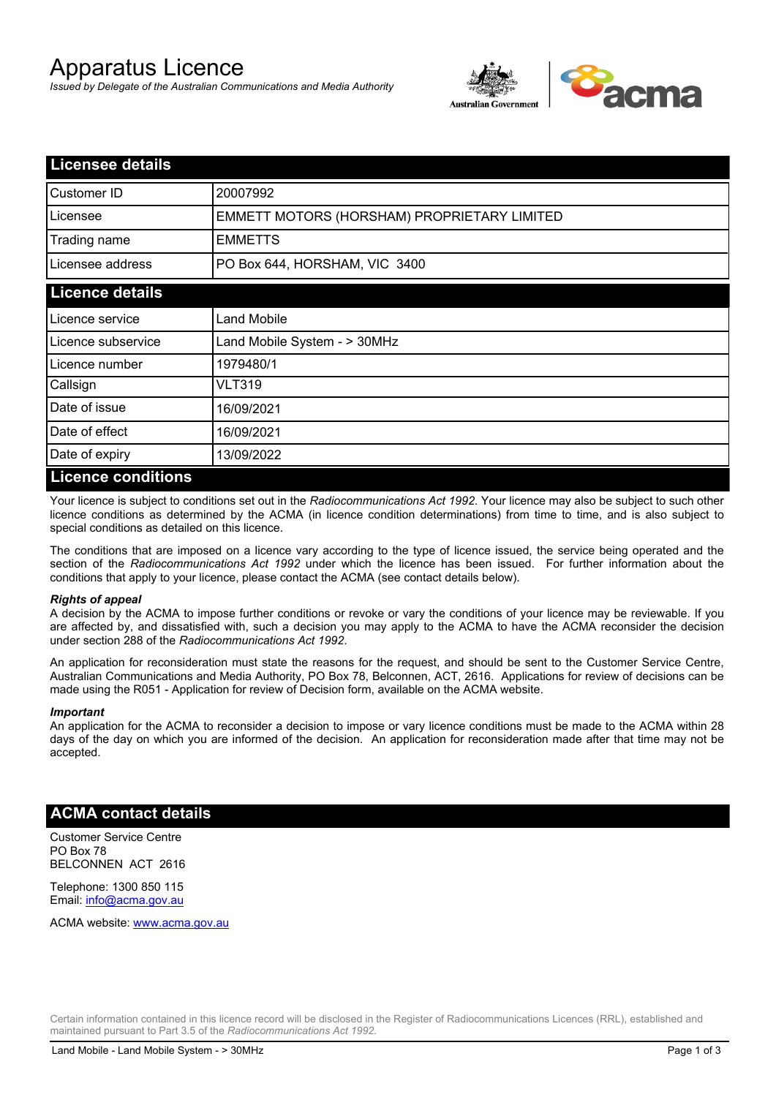# Apparatus Licence

*Issued by Delegate of the Australian Communications and Media Authority*



| <b>Licensee details</b> |                                             |
|-------------------------|---------------------------------------------|
| Customer ID             | 20007992                                    |
| Licensee                | EMMETT MOTORS (HORSHAM) PROPRIETARY LIMITED |
| Trading name            | <b>EMMETTS</b>                              |
| Licensee address        | PO Box 644, HORSHAM, VIC 3400               |
| <b>Licence details</b>  |                                             |
| l Licence service       | <b>Land Mobile</b>                          |
| Licence subservice      | Land Mobile System - > 30MHz                |
| l Licence number        | 1979480/1                                   |
| Callsign                | <b>VLT319</b>                               |
| Date of issue           | 16/09/2021                                  |
| Date of effect          | 16/09/2021                                  |
| Date of expiry          | 13/09/2022                                  |
| Licance conditions      |                                             |

### **Licence conditions**

Your licence is subject to conditions set out in the *Radiocommunications Act 1992*. Your licence may also be subject to such other licence conditions as determined by the ACMA (in licence condition determinations) from time to time, and is also subject to special conditions as detailed on this licence.

The conditions that are imposed on a licence vary according to the type of licence issued, the service being operated and the section of the *Radiocommunications Act 1992* under which the licence has been issued. For further information about the conditions that apply to your licence, please contact the ACMA (see contact details below).

#### *Rights of appeal*

A decision by the ACMA to impose further conditions or revoke or vary the conditions of your licence may be reviewable. If you are affected by, and dissatisfied with, such a decision you may apply to the ACMA to have the ACMA reconsider the decision under section 288 of the *Radiocommunications Act 1992*.

An application for reconsideration must state the reasons for the request, and should be sent to the Customer Service Centre, Australian Communications and Media Authority, PO Box 78, Belconnen, ACT, 2616. Applications for review of decisions can be made using the R051 - Application for review of Decision form, available on the ACMA website.

#### *Important*

An application for the ACMA to reconsider a decision to impose or vary licence conditions must be made to the ACMA within 28 days of the day on which you are informed of the decision. An application for reconsideration made after that time may not be accepted.

## **ACMA contact details**

Customer Service Centre PO Box 78 BELCONNEN ACT 2616

Telephone: 1300 850 115 Email: info@acma.gov.au

ACMA website: www.acma.gov.au

Certain information contained in this licence record will be disclosed in the Register of Radiocommunications Licences (RRL), established and maintained pursuant to Part 3.5 of the *Radiocommunications Act 1992.*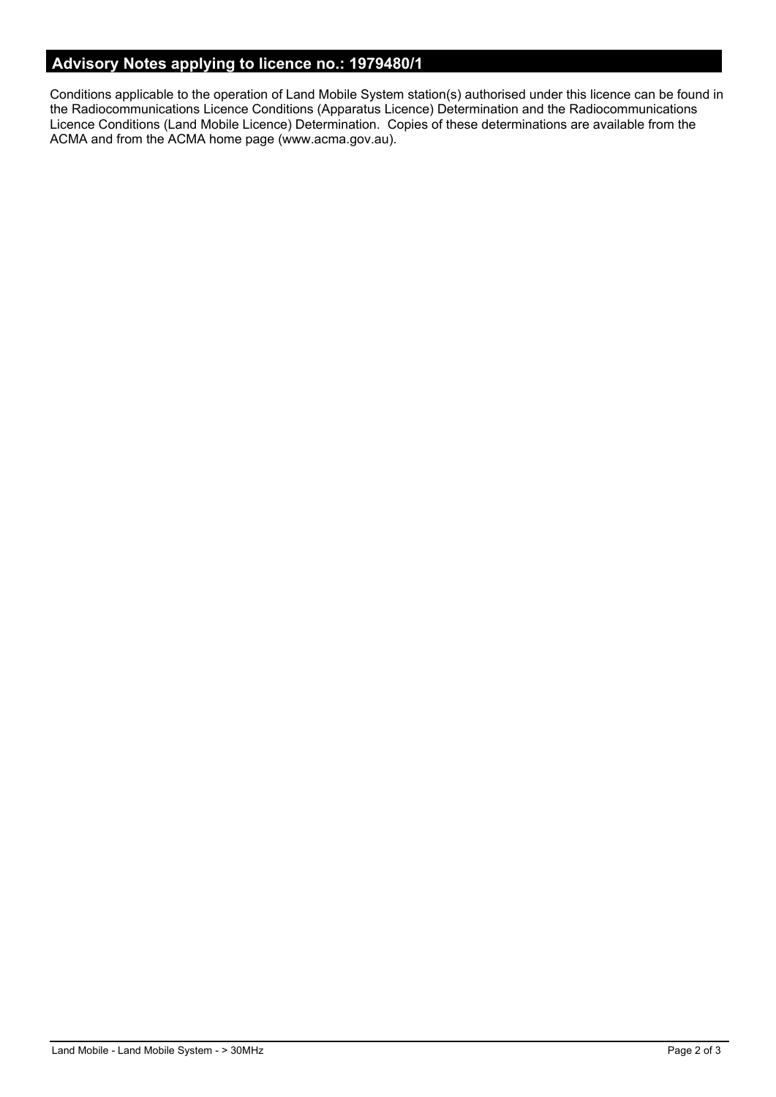# **Advisory Notes applying to licence no.: 1979480/1**

Conditions applicable to the operation of Land Mobile System station(s) authorised under this licence can be found in the Radiocommunications Licence Conditions (Apparatus Licence) Determination and the Radiocommunications Licence Conditions (Land Mobile Licence) Determination. Copies of these determinations are available from the ACMA and from the ACMA home page (www.acma.gov.au).